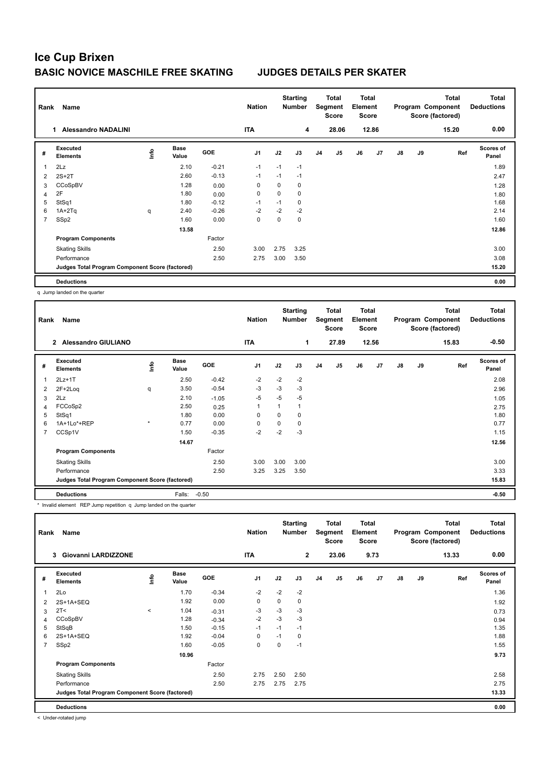## **Ice Cup Brixen BASIC NOVICE MASCHILE FREE SKATING JUDGES DETAILS PER SKATER**

| Rank           | Name                                            |      |                      |            | <b>Nation</b>  |      | <b>Starting</b><br><b>Number</b> |                | <b>Total</b><br>Segment<br>Score | <b>Total</b><br>Element<br><b>Score</b> |       |               |    | <b>Total</b><br>Program Component<br>Score (factored) | <b>Total</b><br><b>Deductions</b> |
|----------------|-------------------------------------------------|------|----------------------|------------|----------------|------|----------------------------------|----------------|----------------------------------|-----------------------------------------|-------|---------------|----|-------------------------------------------------------|-----------------------------------|
|                | <b>Alessandro NADALINI</b><br>1.                |      |                      |            | <b>ITA</b>     |      | 4                                |                | 28.06                            |                                         | 12.86 |               |    | 15.20                                                 | 0.00                              |
| #              | Executed<br><b>Elements</b>                     | lnfo | <b>Base</b><br>Value | <b>GOE</b> | J <sub>1</sub> | J2   | J3                               | J <sub>4</sub> | J <sub>5</sub>                   | J6                                      | J7    | $\mathsf{J}8$ | J9 | Ref                                                   | Scores of<br>Panel                |
| $\overline{1}$ | 2Lz                                             |      | 2.10                 | $-0.21$    | $-1$           | $-1$ | $-1$                             |                |                                  |                                         |       |               |    |                                                       | 1.89                              |
| $\overline{2}$ | $2S+2T$                                         |      | 2.60                 | $-0.13$    | $-1$           | $-1$ | $-1$                             |                |                                  |                                         |       |               |    |                                                       | 2.47                              |
| 3              | CCoSpBV                                         |      | 1.28                 | 0.00       | 0              | 0    | $\mathbf 0$                      |                |                                  |                                         |       |               |    |                                                       | 1.28                              |
| $\overline{4}$ | 2F                                              |      | 1.80                 | 0.00       | 0              | 0    | 0                                |                |                                  |                                         |       |               |    |                                                       | 1.80                              |
| 5              | StSq1                                           |      | 1.80                 | $-0.12$    | $-1$           | $-1$ | 0                                |                |                                  |                                         |       |               |    |                                                       | 1.68                              |
| 6              | $1A+2Tq$                                        | q    | 2.40                 | $-0.26$    | $-2$           | $-2$ | $-2$                             |                |                                  |                                         |       |               |    |                                                       | 2.14                              |
| $\overline{7}$ | SSp2                                            |      | 1.60                 | 0.00       | 0              | 0    | 0                                |                |                                  |                                         |       |               |    |                                                       | 1.60                              |
|                |                                                 |      | 13.58                |            |                |      |                                  |                |                                  |                                         |       |               |    |                                                       | 12.86                             |
|                | <b>Program Components</b>                       |      |                      | Factor     |                |      |                                  |                |                                  |                                         |       |               |    |                                                       |                                   |
|                | <b>Skating Skills</b>                           |      |                      | 2.50       | 3.00           | 2.75 | 3.25                             |                |                                  |                                         |       |               |    |                                                       | 3.00                              |
|                | Performance                                     |      |                      | 2.50       | 2.75           | 3.00 | 3.50                             |                |                                  |                                         |       |               |    |                                                       | 3.08                              |
|                | Judges Total Program Component Score (factored) |      |                      |            |                |      |                                  |                |                                  |                                         |       |               |    |                                                       | 15.20                             |
|                | <b>Deductions</b>                               |      |                      |            |                |      |                                  |                |                                  |                                         |       |               |    |                                                       | 0.00                              |

q Jump landed on the quarter

| Rank | Name                                            |         |                      |            | <b>Nation</b>  |          | <b>Starting</b><br><b>Number</b> | Total<br>Segment<br><b>Score</b> |                | <b>Total</b><br>Element<br>Score |                | <b>Total</b><br>Program Component<br>Score (factored) |    |       | <b>Total</b><br><b>Deductions</b> |
|------|-------------------------------------------------|---------|----------------------|------------|----------------|----------|----------------------------------|----------------------------------|----------------|----------------------------------|----------------|-------------------------------------------------------|----|-------|-----------------------------------|
|      | 2 Alessandro GIULIANO                           |         |                      |            | <b>ITA</b>     |          | 1                                |                                  | 27.89          |                                  | 12.56          |                                                       |    | 15.83 | $-0.50$                           |
| #    | Executed<br><b>Elements</b>                     | ١nfo    | <b>Base</b><br>Value | <b>GOE</b> | J <sub>1</sub> | J2       | J3                               | J <sub>4</sub>                   | J <sub>5</sub> | J6                               | J <sub>7</sub> | $\mathsf{J}8$                                         | J9 | Ref   | Scores of<br>Panel                |
| 1    | $2Lz+1T$                                        |         | 2.50                 | $-0.42$    | $-2$           | $-2$     | $-2$                             |                                  |                |                                  |                |                                                       |    |       | 2.08                              |
| 2    | 2F+2Loq                                         | q       | 3.50                 | $-0.54$    | $-3$           | $-3$     | $-3$                             |                                  |                |                                  |                |                                                       |    |       | 2.96                              |
| 3    | 2Lz                                             |         | 2.10                 | $-1.05$    | $-5$           | $-5$     | $-5$                             |                                  |                |                                  |                |                                                       |    |       | 1.05                              |
| 4    | FCCoSp2                                         |         | 2.50                 | 0.25       | $\overline{1}$ |          | 1                                |                                  |                |                                  |                |                                                       |    |       | 2.75                              |
| 5    | StSq1                                           |         | 1.80                 | 0.00       | 0              | $\Omega$ | 0                                |                                  |                |                                  |                |                                                       |    |       | 1.80                              |
| 6    | 1A+1Lo*+REP                                     | $\star$ | 0.77                 | 0.00       | 0              | 0        | 0                                |                                  |                |                                  |                |                                                       |    |       | 0.77                              |
| 7    | CCSp1V                                          |         | 1.50                 | $-0.35$    | $-2$           | $-2$     | $-3$                             |                                  |                |                                  |                |                                                       |    |       | 1.15                              |
|      |                                                 |         | 14.67                |            |                |          |                                  |                                  |                |                                  |                |                                                       |    |       | 12.56                             |
|      | <b>Program Components</b>                       |         |                      | Factor     |                |          |                                  |                                  |                |                                  |                |                                                       |    |       |                                   |
|      | <b>Skating Skills</b>                           |         |                      | 2.50       | 3.00           | 3.00     | 3.00                             |                                  |                |                                  |                |                                                       |    |       | 3.00                              |
|      | Performance                                     |         |                      | 2.50       | 3.25           | 3.25     | 3.50                             |                                  |                |                                  |                |                                                       |    |       | 3.33                              |
|      | Judges Total Program Component Score (factored) |         |                      |            |                |          |                                  |                                  |                |                                  |                |                                                       |    |       | 15.83                             |
|      | <b>Deductions</b>                               |         | Falls:               | $-0.50$    |                |          |                                  |                                  |                |                                  |                |                                                       |    |       | $-0.50$                           |

\* Invalid element REP Jump repetition q Jump landed on the quarter

| Rank           | Name                                            |            |                      |            | <b>Nation</b>  |      | <b>Starting</b><br><b>Number</b> | Total<br>Segment<br><b>Score</b> |                | <b>Total</b><br>Element<br><b>Score</b> |                | <b>Total</b><br>Program Component<br>Score (factored) |    |       | <b>Total</b><br><b>Deductions</b> |
|----------------|-------------------------------------------------|------------|----------------------|------------|----------------|------|----------------------------------|----------------------------------|----------------|-----------------------------------------|----------------|-------------------------------------------------------|----|-------|-----------------------------------|
|                | <b>Giovanni LARDIZZONE</b><br>3                 |            |                      |            | <b>ITA</b>     |      | $\overline{2}$                   |                                  | 23.06          |                                         | 9.73           |                                                       |    | 13.33 | 0.00                              |
| #              | Executed<br><b>Elements</b>                     | <u>f</u> o | <b>Base</b><br>Value | <b>GOE</b> | J <sub>1</sub> | J2   | J3                               | J4                               | J <sub>5</sub> | J6                                      | J <sub>7</sub> | $\mathsf{J}8$                                         | J9 | Ref   | <b>Scores of</b><br>Panel         |
| 1              | 2Lo                                             |            | 1.70                 | $-0.34$    | $-2$           | $-2$ | $-2$                             |                                  |                |                                         |                |                                                       |    |       | 1.36                              |
| 2              | 2S+1A+SEQ                                       |            | 1.92                 | 0.00       | $\mathbf 0$    | 0    | 0                                |                                  |                |                                         |                |                                                       |    |       | 1.92                              |
| 3              | 2T <                                            | $\,<\,$    | 1.04                 | $-0.31$    | -3             | $-3$ | $-3$                             |                                  |                |                                         |                |                                                       |    |       | 0.73                              |
| 4              | CCoSpBV                                         |            | 1.28                 | $-0.34$    | $-2$           | $-3$ | $-3$                             |                                  |                |                                         |                |                                                       |    |       | 0.94                              |
| 5              | StSqB                                           |            | 1.50                 | $-0.15$    | $-1$           | $-1$ | $-1$                             |                                  |                |                                         |                |                                                       |    |       | 1.35                              |
| 6              | 2S+1A+SEQ                                       |            | 1.92                 | $-0.04$    | 0              | $-1$ | 0                                |                                  |                |                                         |                |                                                       |    |       | 1.88                              |
| $\overline{7}$ | SSp2                                            |            | 1.60                 | $-0.05$    | 0              | 0    | $-1$                             |                                  |                |                                         |                |                                                       |    |       | 1.55                              |
|                |                                                 |            | 10.96                |            |                |      |                                  |                                  |                |                                         |                |                                                       |    |       | 9.73                              |
|                | <b>Program Components</b>                       |            |                      | Factor     |                |      |                                  |                                  |                |                                         |                |                                                       |    |       |                                   |
|                | <b>Skating Skills</b>                           |            |                      | 2.50       | 2.75           | 2.50 | 2.50                             |                                  |                |                                         |                |                                                       |    |       | 2.58                              |
|                | Performance                                     |            |                      | 2.50       | 2.75           | 2.75 | 2.75                             |                                  |                |                                         |                |                                                       |    |       | 2.75                              |
|                | Judges Total Program Component Score (factored) |            |                      |            |                |      |                                  |                                  |                |                                         |                |                                                       |    |       | 13.33                             |
|                | <b>Deductions</b>                               |            |                      |            |                |      |                                  |                                  |                |                                         |                |                                                       |    |       | 0.00                              |

< Under-rotated jump